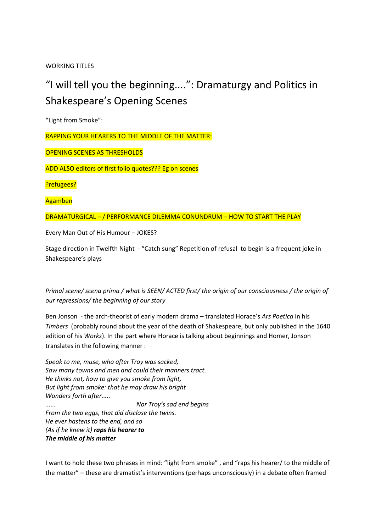WORKING TITLES

# "I will tell you the beginning....": Dramaturgy and Politics in Shakespeare's Opening Scenes

"Light from Smoke":

RAPPING YOUR HEARERS TO THE MIDDLE OF THE MATTER:

OPENING SCENES AS THRESHOLDS

ADD ALSO editors of first folio quotes??? Eg on scenes

?refugees?

Agamben

DRAMATURGICAL – / PERFORMANCE DILEMMA CONUNDRUM – HOW TO START THE PLAY

Every Man Out of His Humour – JOKES?

Stage direction in Twelfth Night - "Catch sung" Repetition of refusal to begin is a frequent joke in Shakespeare's plays

*Primal scene/ scena prima / what is SEEN/ ACTED first/ the origin of our consciousness / the origin of our repressions/ the beginning of our story*

Ben Jonson - the arch-theorist of early modern drama – translated Horace's *Ars Poetica* in his *Timbers* (probably round about the year of the death of Shakespeare, but only published in the 1640 edition of his *Works*). In the part where Horace is talking about beginnings and Homer, Jonson translates in the following manner :

*Speak to me, muse, who after Troy was sacked, Saw many towns and men and could their manners tract. He thinks not, how to give you smoke from light, But light from smoke: that he may draw his bright Wonders forth after..... ...... Nor Troy's sad end begins From the two eggs, that did disclose the twins. He ever hastens to the end, and so (As if he knew it) raps his hearer to The middle of his matter* 

I want to hold these two phrases in mind: "light from smoke" , and "raps his hearer/ to the middle of the matter" – these are dramatist's interventions (perhaps unconsciously) in a debate often framed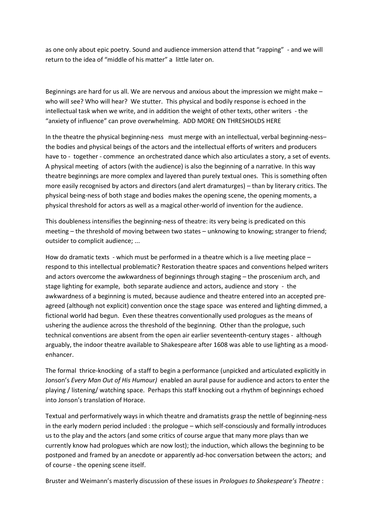as one only about epic poetry. Sound and audience immersion attend that "rapping" - and we will return to the idea of "middle of his matter" a little later on.

Beginnings are hard for us all. We are nervous and anxious about the impression we might make – who will see? Who will hear? We stutter. This physical and bodily response is echoed in the intellectual task when we write, and in addition the weight of other texts, other writers - the "anxiety of influence" can prove overwhelming. ADD MORE ON THRESHOLDS HERE

In the theatre the physical beginning-ness must merge with an intellectual, verbal beginning-ness– the bodies and physical beings of the actors and the intellectual efforts of writers and producers have to - together - commence an orchestrated dance which also articulates a story, a set of events. A physical meeting of actors (with the audience) is also the beginning of a narrative. In this way theatre beginnings are more complex and layered than purely textual ones. This is something often more easily recognised by actors and directors (and alert dramaturges) – than by literary critics. The physical being-ness of both stage and bodies makes the opening scene, the opening moments, a physical threshold for actors as well as a magical other-world of invention for the audience.

This doubleness intensifies the beginning-ness of theatre: its very being is predicated on this meeting – the threshold of moving between two states – unknowing to knowing; stranger to friend; outsider to complicit audience; ...

How do dramatic texts - which must be performed in a theatre which is a live meeting place – respond to this intellectual problematic? Restoration theatre spaces and conventions helped writers and actors overcome the awkwardness of beginnings through staging – the proscenium arch, and stage lighting for example, both separate audience and actors, audience and story - the awkwardness of a beginning is muted, because audience and theatre entered into an accepted preagreed (although not explicit) convention once the stage space was entered and lighting dimmed, a fictional world had begun. Even these theatres conventionally used prologues as the means of ushering the audience across the threshold of the beginning. Other than the prologue, such technical conventions are absent from the open air earlier seventeenth-century stages - although arguably, the indoor theatre available to Shakespeare after 1608 was able to use lighting as a moodenhancer.

The formal thrice-knocking of a staff to begin a performance (unpicked and articulated explicitly in Jonson's *Every Man Out of His Humour)* enabled an aural pause for audience and actors to enter the playing / listening/ watching space. Perhaps this staff knocking out a rhythm of beginnings echoed into Jonson's translation of Horace.

Textual and performatively ways in which theatre and dramatists grasp the nettle of beginning-ness in the early modern period included : the prologue – which self-consciously and formally introduces us to the play and the actors (and some critics of course argue that many more plays than we currently know had prologues which are now lost); the induction, which allows the beginning to be postponed and framed by an anecdote or apparently ad-hoc conversation between the actors; and of course - the opening scene itself.

Bruster and Weimann's masterly discussion of these issues in *Prologues to Shakespeare's Theatre* :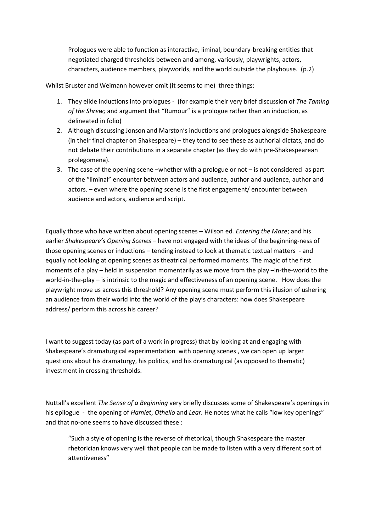Prologues were able to function as interactive, liminal, boundary-breaking entities that negotiated charged thresholds between and among, variously, playwrights, actors, characters, audience members, playworlds, and the world outside the playhouse. (p.2)

Whilst Bruster and Weimann however omit (it seems to me) three things:

- 1. They elide inductions into prologues (for example their very brief discussion of *The Taming of the Shrew;* and argument that "Rumour" is a prologue rather than an induction, as delineated in folio)
- 2. Although discussing Jonson and Marston's inductions and prologues alongside Shakespeare (in their final chapter on Shakespeare) – they tend to see these as authorial dictats, and do not debate their contributions in a separate chapter (as they do with pre-Shakespearean prolegomena).
- 3. The case of the opening scene –whether with a prologue or not is not considered as part of the "liminal" encounter between actors and audience, author and audience, author and actors. – even where the opening scene is the first engagement/ encounter between audience and actors, audience and script.

Equally those who have written about opening scenes – Wilson ed*. Entering the Maze*; and his earlier *Shakespeare's Opening Scenes* – have not engaged with the ideas of the beginning-ness of those opening scenes or inductions – tending instead to look at thematic textual matters - and equally not looking at opening scenes as theatrical performed moments. The magic of the first moments of a play – held in suspension momentarily as we move from the play –in-the-world to the world-in-the-play – is intrinsic to the magic and effectiveness of an opening scene. How does the playwright move us across this threshold? Any opening scene must perform this illusion of ushering an audience from their world into the world of the play's characters: how does Shakespeare address/ perform this across his career?

I want to suggest today (as part of a work in progress) that by looking at and engaging with Shakespeare's dramaturgical experimentation with opening scenes , we can open up larger questions about his dramaturgy, his politics, and his dramaturgical (as opposed to thematic) investment in crossing thresholds.

Nuttall's excellent *The Sense of a Beginning* very briefly discusses some of Shakespeare's openings in his epilogue - the opening of *Hamlet*, *Othello* and *Lear.* He notes what he calls "low key openings" and that no-one seems to have discussed these :

"Such a style of opening is the reverse of rhetorical, though Shakespeare the master rhetorician knows very well that people can be made to listen with a very different sort of attentiveness"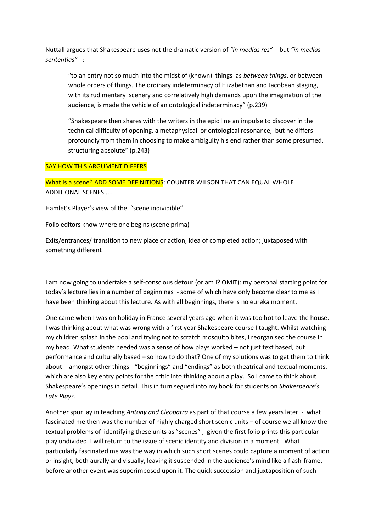Nuttall argues that Shakespeare uses not the dramatic version of *"in medias res"* - but *"in medias sententias" -* :

"to an entry not so much into the midst of (known) things as *between things*, or between whole orders of things. The ordinary indeterminacy of Elizabethan and Jacobean staging, with its rudimentary scenery and correlatively high demands upon the imagination of the audience, is made the vehicle of an ontological indeterminacy" (p.239)

"Shakespeare then shares with the writers in the epic line an impulse to discover in the technical difficulty of opening, a metaphysical or ontological resonance, but he differs profoundly from them in choosing to make ambiguity his end rather than some presumed, structuring absolute" (p.243)

#### SAY HOW THIS ARGUMENT DIFFERS

What is a scene? ADD SOME DEFINITIONS: COUNTER WILSON THAT CAN EQUAL WHOLE ADDITIONAL SCENES.....

Hamlet's Player's view of the "scene individible"

Folio editors know where one begins (scene prima)

Exits/entrances/ transition to new place or action; idea of completed action; juxtaposed with something different

I am now going to undertake a self-conscious detour (or am I? OMIT): my personal starting point for today's lecture lies in a number of beginnings - some of which have only become clear to me as I have been thinking about this lecture. As with all beginnings, there is no eureka moment.

One came when I was on holiday in France several years ago when it was too hot to leave the house. I was thinking about what was wrong with a first year Shakespeare course I taught. Whilst watching my children splash in the pool and trying not to scratch mosquito bites, I reorganised the course in my head. What students needed was a sense of how plays worked – not just text based, but performance and culturally based – so how to do that? One of my solutions was to get them to think about - amongst other things - "beginnings" and "endings" as both theatrical and textual moments, which are also key entry points for the critic into thinking about a play. So I came to think about Shakespeare's openings in detail. This in turn segued into my book for students on *Shakespeare's Late Plays.*

Another spur lay in teaching *Antony and Cleopatra* as part of that course a few years later - what fascinated me then was the number of highly charged short scenic units – of course we all know the textual problems of identifying these units as "scenes" , given the first folio prints this particular play undivided. I will return to the issue of scenic identity and division in a moment. What particularly fascinated me was the way in which such short scenes could capture a moment of action or insight, both aurally and visually, leaving it suspended in the audience's mind like a flash-frame, before another event was superimposed upon it. The quick succession and juxtaposition of such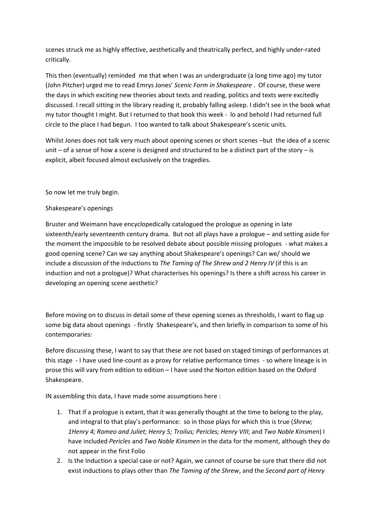scenes struck me as highly effective, aesthetically and theatrically perfect, and highly under-rated critically.

This then (eventually) reminded me that when I was an undergraduate (a long time ago) my tutor (John Pitcher) urged me to read Emrys Jones' *Scenic Form in Shakespeare* . Of course, these were the days in which exciting new theories about texts and reading, politics and texts were excitedly discussed. I recall sitting in the library reading it, probably falling asleep. I didn't see in the book what my tutor thought I might. But I returned to that book this week - lo and behold I had returned full circle to the place I had begun. I too wanted to talk about Shakespeare's scenic units.

Whilst Jones does not talk very much about opening scenes or short scenes –but the idea of a scenic unit – of a sense of how a scene is designed and structured to be a distinct part of the story – is explicit, albeit focused almost exclusively on the tragedies.

So now let me truly begin.

Shakespeare's openings

Bruster and Weimann have encyclopedically catalogued the prologue as opening in late sixteenth/early seventeenth century drama. But not all plays have a prologue – and setting aside for the moment the impossible to be resolved debate about possible missing prologues - what makes a good opening scene? Can we say anything about Shakespeare's openings? Can we/ should we include a discussion of the inductions to *The Taming of The Shrew and 2 Henry IV* (if this is an induction and not a prologue)? What characterises his openings? Is there a shift across his career in developing an opening scene aesthetic?

Before moving on to discuss in detail some of these opening scenes as thresholds, I want to flag up some big data about openings - firstly Shakespeare's, and then briefly in comparison to some of his contemporaries:

Before discussing these, I want to say that these are not based on staged timings of performances at this stage - I have used line-count as a proxy for relative performance times - so where lineage is in prose this will vary from edition to edition – I have used the Norton edition based on the Oxford Shakespeare.

IN assembling this data, I have made some assumptions here :

- 1. That if a prologue is extant, that it was generally thought at the time to belong to the play, and integral to that play's performance: so in those plays for which this is true (*Shrew; 1Henry 4; Romeo and Juliet; Henry 5; Troilus; Pericles; Henry VIII*; and *Two Noble Kinsmen*) I have included *Pericles* and *Two Noble Kinsmen* in the data for the moment, although they do not appear in the first Folio
- 2. Is the Induction a special case or not? Again, we cannot of course be sure that there did not exist inductions to plays other than *The Taming of the Shrew*, and the *Second part of Henry*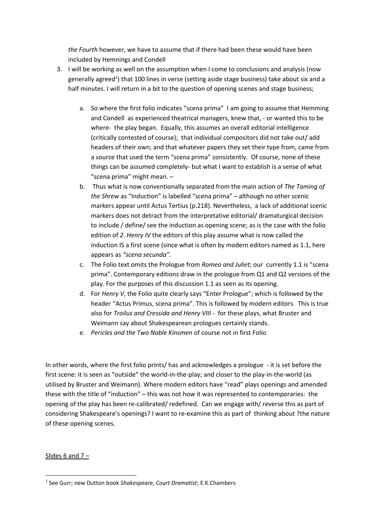*the Fourth* however, we have to assume that if there had been these would have been included by Hemnings and Condell

- 3. I will be working as well on the assumption when I come to conclusions and analysis (now generally agreed<sup>1</sup>) that 100 lines in verse (setting aside stage business) take about six and a half minutes. I will return in a bit to the question of opening scenes and stage business;
	- a. So where the first folio indicates "scena prima" I am going to assume that Hemming and Condell as experienced theatrical managers, knew that, - or wanted this to be where- the play began. Equally, this assumes an overall editorial intelligence (critically contested of course); that individual compositors did not take out/ add headers of their own; and that whatever papers they set their type from, came from a source that used the term "scena prima" consistently. Of course, none of these things can be assumed completely- but what I want to establish is a sense of what "scena prima" might mean. –
	- b. Thus what is now conventionally separated from the main action of *The Taming of the Shrew* as "Induction" is labelled "scena prima" – although no other scenic markers appear until Actus Tertius (p.218). Nevertheless, a lack of additional scenic markers does not detract from the interpretative editorial/ dramaturgical decision to include / define/ see the induction as opening scene; as is the case with the folio edition of *2. Henry IV* the editors of this play assume what is now called the induction IS a first scene (since what is often by modern editors named as 1.1, here appears as *"scena secunda".*
	- c. The Folio text omits the Prologue from *Romeo and Juliet;* our currently 1.1 is "scena prima". Contemporary editions draw in the prologue from Q1 and Q2 versions of the play. For the purposes of this discussion 1.1 as seen as its opening.
	- d. For *Henry V*, the Folio quite clearly says "Enter Prologue"; which is followed by the header "Actus Primus, scena prima". This is followed by modern editors. This is true also for *Troilus and Cressida and Henry VIII -* for these plays, what Bruster and Weimann say about Shakespearean prologues certainly stands.
	- e. *Pericles and the Two Noble Kinsmen* of course not in first Folio

In other words, where the first folio prints/ has and acknowledges a prologue - it is set before the first scene: it is seen as "outside" the world-in-the-play; and closer to the play-in-the-world (as utilised by Bruster and Weimann). Where modern editors have "read" plays openings and amended these with the title of "induction" – this was not how it was represented to contemporaries: the opening of the play has been re-calibrated/ redefined. Can we engage with/ reverse this as part of considering Shakespeare's openings? I want to re-examine this as part of thinking about ?the nature of these opening scenes.

Slides 6 and 7 –

**<sup>.</sup>** 1 See Gurr; new Dutton book *Shakespeare, Court Dramatist*; E.K.Chambers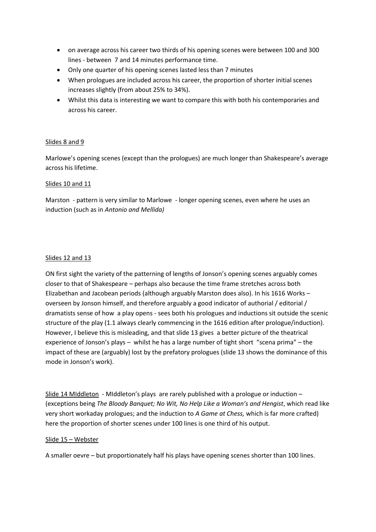- on average across his career two thirds of his opening scenes were between 100 and 300 lines - between 7 and 14 minutes performance time.
- Only one quarter of his opening scenes lasted less than 7 minutes
- When prologues are included across his career, the proportion of shorter initial scenes increases slightly (from about 25% to 34%).
- Whilst this data is interesting we want to compare this with both his contemporaries and across his career.

## Slides 8 and 9

Marlowe's opening scenes (except than the prologues) are much longer than Shakespeare's average across his lifetime.

## Slides 10 and 11

Marston - pattern is very similar to Marlowe - longer opening scenes, even where he uses an induction (such as in *Antonio and Mellida)*

## Slides 12 and 13

ON first sight the variety of the patterning of lengths of Jonson's opening scenes arguably comes closer to that of Shakespeare – perhaps also because the time frame stretches across both Elizabethan and Jacobean periods (although arguably Marston does also). In his 1616 Works – overseen by Jonson himself, and therefore arguably a good indicator of authorial / editorial / dramatists sense of how a play opens - sees both his prologues and inductions sit outside the scenic structure of the play (1.1 always clearly commencing in the 1616 edition after prologue/induction). However, I believe this is misleading, and that slide 13 gives a better picture of the theatrical experience of Jonson's plays – whilst he has a large number of tight short "scena prima" – the impact of these are (arguably) lost by the prefatory prologues (slide 13 shows the dominance of this mode in Jonson's work).

Slide 14 MIddleton - MIddleton's plays are rarely published with a prologue or induction – (exceptions being *The Bloody Banquet; No Wit, No Help Like a Woman's and Hengist*, which read like very short workaday prologues; and the induction to *A Game at Chess,* which is far more crafted) here the proportion of shorter scenes under 100 lines is one third of his output.

#### Slide 15 – Webster

A smaller oevre – but proportionately half his plays have opening scenes shorter than 100 lines.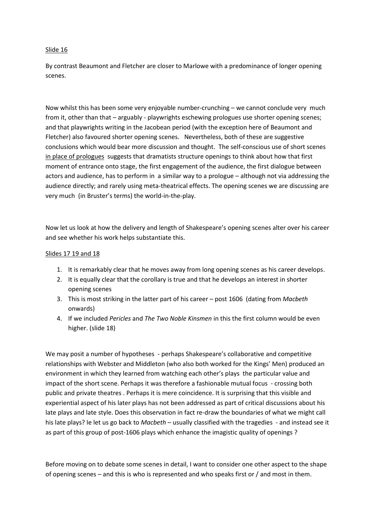#### Slide 16

By contrast Beaumont and Fletcher are closer to Marlowe with a predominance of longer opening scenes.

Now whilst this has been some very enjoyable number-crunching – we cannot conclude very much from it, other than that – arguably - playwrights eschewing prologues use shorter opening scenes; and that playwrights writing in the Jacobean period (with the exception here of Beaumont and Fletcher) also favoured shorter opening scenes. Nevertheless, both of these are suggestive conclusions which would bear more discussion and thought. The self-conscious use of short scenes in place of prologues suggests that dramatists structure openings to think about how that first moment of entrance onto stage, the first engagement of the audience, the first dialogue between actors and audience, has to perform in a similar way to a prologue – although not via addressing the audience directly; and rarely using meta-theatrical effects. The opening scenes we are discussing are very much (in Bruster's terms) the world-in-the-play.

Now let us look at how the delivery and length of Shakespeare's opening scenes alter over his career and see whether his work helps substantiate this.

#### Slides 17 19 and 18

- 1. It is remarkably clear that he moves away from long opening scenes as his career develops.
- 2. It is equally clear that the corollary is true and that he develops an interest in shorter opening scenes
- 3. This is most striking in the latter part of his career post 1606 (dating from *Macbeth*  onwards)
- 4. If we included *Pericles* and *The Two Noble Kinsmen* in this the first column would be even higher. (slide 18)

We may posit a number of hypotheses - perhaps Shakespeare's collaborative and competitive relationships with Webster and Middleton (who also both worked for the Kings' Men) produced an environment in which they learned from watching each other's plays the particular value and impact of the short scene. Perhaps it was therefore a fashionable mutual focus - crossing both public and private theatres . Perhaps it is mere coincidence. It is surprising that this visible and experiential aspect of his later plays has not been addressed as part of critical discussions about his late plays and late style. Does this observation in fact re-draw the boundaries of what we might call his late plays? Ie let us go back to *Macbeth* – usually classified with the tragedies - and instead see it as part of this group of post-1606 plays which enhance the imagistic quality of openings ?

Before moving on to debate some scenes in detail, I want to consider one other aspect to the shape of opening scenes – and this is who is represented and who speaks first or / and most in them.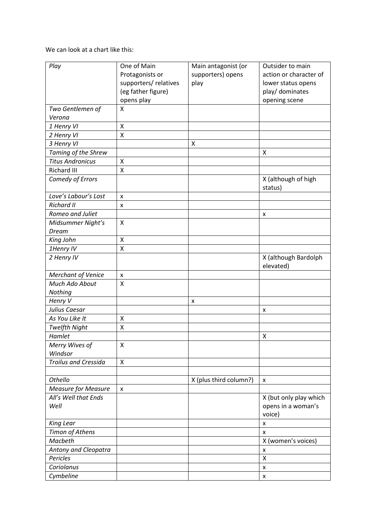We can look at a chart like this:

| Play                        | One of Main           | Main antagonist (or    | Outsider to main                  |
|-----------------------------|-----------------------|------------------------|-----------------------------------|
|                             |                       | supporters) opens      | action or character of            |
|                             | Protagonists or       |                        |                                   |
|                             | supporters/ relatives | play                   | lower status opens                |
|                             | (eg father figure)    |                        | play/ dominates                   |
|                             | opens play            |                        | opening scene                     |
| Two Gentlemen of<br>Verona  | X                     |                        |                                   |
|                             | X                     |                        |                                   |
| 1 Henry VI<br>2 Henry VI    | $\pmb{\mathsf{X}}$    |                        |                                   |
|                             |                       |                        |                                   |
| 3 Henry VI                  |                       | Χ                      |                                   |
| Taming of the Shrew         |                       |                        | X                                 |
| <b>Titus Andronicus</b>     | X                     |                        |                                   |
| <b>Richard III</b>          | X                     |                        |                                   |
| Comedy of Errors            |                       |                        | X (although of high<br>status)    |
| Love's Labour's Lost        | x                     |                        |                                   |
| <b>Richard II</b>           | x                     |                        |                                   |
| Romeo and Juliet            |                       |                        | X                                 |
| Midsummer Night's           | X                     |                        |                                   |
| Dream                       |                       |                        |                                   |
| King John                   | $\pmb{\mathsf{X}}$    |                        |                                   |
| 1Henry IV                   | X                     |                        |                                   |
| 2 Henry IV                  |                       |                        | X (although Bardolph<br>elevated) |
| <b>Merchant of Venice</b>   | $\pmb{\times}$        |                        |                                   |
| Much Ado About              | $\sf X$               |                        |                                   |
| Nothing                     |                       |                        |                                   |
| Henry V                     |                       | x                      |                                   |
| Julius Caesar               |                       |                        | x                                 |
| As You Like It              | Χ                     |                        |                                   |
| <b>Twelfth Night</b>        | X                     |                        |                                   |
| Hamlet                      |                       |                        | Χ                                 |
| Merry Wives of              | $\pmb{\mathsf{X}}$    |                        |                                   |
| Windsor                     |                       |                        |                                   |
| <b>Troilus and Cressida</b> | $\pmb{\mathsf{X}}$    |                        |                                   |
|                             |                       |                        |                                   |
| Othello                     |                       | X (plus third column?) | x                                 |
| <b>Measure for Measure</b>  | $\pmb{\mathsf{x}}$    |                        |                                   |
| All's Well that Ends        |                       |                        | X (but only play which            |
| Well                        |                       |                        | opens in a woman's                |
|                             |                       |                        | voice)                            |
| <b>King Lear</b>            |                       |                        | X                                 |
| Timon of Athens             |                       |                        | X                                 |
| Macbeth                     |                       |                        | X (women's voices)                |
| Antony and Cleopatra        |                       |                        | X                                 |
| Pericles                    |                       |                        | $\mathsf{\chi}$                   |
| Coriolanus                  |                       |                        | x                                 |
| Cymbeline                   |                       |                        | $\pmb{\mathsf{x}}$                |
|                             |                       |                        |                                   |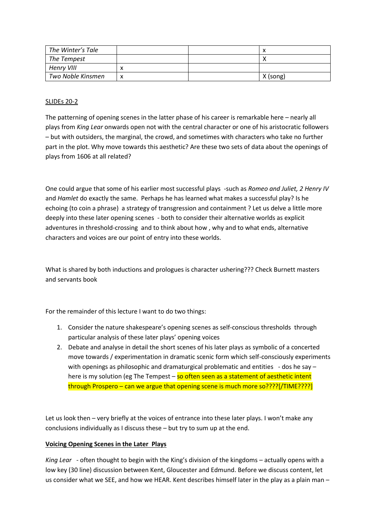| The Winter's Tale |   | $\lambda$ |
|-------------------|---|-----------|
| The Tempest       |   |           |
| Henry VIII        |   |           |
| Two Noble Kinsmen | x | X (song)  |

#### SLIDEs 20-2

The patterning of opening scenes in the latter phase of his career is remarkable here – nearly all plays from *King Lear* onwards open not with the central character or one of his aristocratic followers – but with outsiders, the marginal, the crowd, and sometimes with characters who take no further part in the plot. Why move towards this aesthetic? Are these two sets of data about the openings of plays from 1606 at all related?

One could argue that some of his earlier most successful plays -such as *Romeo and Juliet, 2 Henry IV*  and *Hamlet* do exactly the same. Perhaps he has learned what makes a successful play? Is he echoing (to coin a phrase) a strategy of transgression and containment ? Let us delve a little more deeply into these later opening scenes - both to consider their alternative worlds as explicit adventures in threshold-crossing and to think about how , why and to what ends, alternative characters and voices are our point of entry into these worlds.

What is shared by both inductions and prologues is character ushering??? Check Burnett masters and servants book

For the remainder of this lecture I want to do two things:

- 1. Consider the nature shakespeare's opening scenes as self-conscious thresholds through particular analysis of these later plays' opening voices
- 2. Debate and analyse in detail the short scenes of his later plays as symbolic of a concerted move towards / experimentation in dramatic scenic form which self-consciously experiments with openings as philosophic and dramaturgical problematic and entities - dos he say – here is my solution (eg The Tempest – so often seen as a statement of aesthetic intent through Prospero – can we argue that opening scene is much more so????[/TIME????]

Let us look then – very briefly at the voices of entrance into these later plays. I won't make any conclusions individually as I discuss these – but try to sum up at the end.

#### **Voicing Opening Scenes in the Later Plays**

*King Lear* - often thought to begin with the King's division of the kingdoms – actually opens with a low key (30 line) discussion between Kent, Gloucester and Edmund. Before we discuss content, let us consider what we SEE, and how we HEAR. Kent describes himself later in the play as a plain man –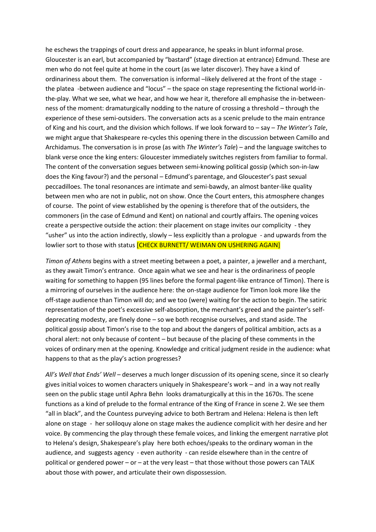he eschews the trappings of court dress and appearance, he speaks in blunt informal prose. Gloucester is an earl, but accompanied by "bastard" (stage direction at entrance) Edmund. These are men who do not feel quite at home in the court (as we later discover). They have a kind of ordinariness about them. The conversation is informal -likely delivered at the front of the stage the platea -between audience and "locus" – the space on stage representing the fictional world-inthe-play. What we see, what we hear, and how we hear it, therefore all emphasise the in-betweenness of the moment: dramaturgically nodding to the nature of crossing a threshold – through the experience of these semi-outsiders. The conversation acts as a scenic prelude to the main entrance of King and his court, and the division which follows. If we look forward to – say – *The Winter's Tale*, we might argue that Shakespeare re-cycles this opening there in the discussion between Camillo and Archidamus. The conversation is in prose (as with *The Winter's Tale*) – and the language switches to blank verse once the king enters: Gloucester immediately switches registers from familiar to formal. The content of the conversation segues between semi-knowing political gossip (which son-in-law does the King favour?) and the personal – Edmund's parentage, and Gloucester's past sexual peccadilloes. The tonal resonances are intimate and semi-bawdy, an almost banter-like quality between men who are not in public, not on show. Once the Court enters, this atmosphere changes of course. The point of view established by the opening is therefore that of the outsiders, the commoners (in the case of Edmund and Kent) on national and courtly affairs. The opening voices create a perspective outside the action: their placement on stage invites our complicity - they "usher" us into the action indirectly, slowly – less explicitly than a prologue - and upwards from the lowlier sort to those with status **[CHECK BURNETT/ WEIMAN ON USHERING AGAIN]** 

*Timon of Athens* begins with a street meeting between a poet, a painter, a jeweller and a merchant, as they await Timon's entrance. Once again what we see and hear is the ordinariness of people waiting for something to happen (95 lines before the formal pagent-like entrance of Timon). There is a mirroring of ourselves in the audience here: the on-stage audience for Timon look more like the off-stage audience than Timon will do; and we too (were) waiting for the action to begin. The satiric representation of the poet's excessive self-absorption, the merchant's greed and the painter's selfdeprecating modesty, are finely done – so we both recognise ourselves, and stand aside. The political gossip about Timon's rise to the top and about the dangers of political ambition, acts as a choral alert: not only because of content – but because of the placing of these comments in the voices of ordinary men at the opening. Knowledge and critical judgment reside in the audience: what happens to that as the play's action progresses?

*All's Well that Ends' Well* – deserves a much longer discussion of its opening scene, since it so clearly gives initial voices to women characters uniquely in Shakespeare's work – and in a way not really seen on the public stage until Aphra Behn looks dramaturgically at this in the 1670s. The scene functions as a kind of prelude to the formal entrance of the King of France in scene 2. We see them "all in black", and the Countess purveying advice to both Bertram and Helena: Helena is then left alone on stage - her soliloquy alone on stage makes the audience complicit with her desire and her voice. By commencing the play through these female voices, and linking the emergent narrative plot to Helena's design, Shakespeare's play here both echoes/speaks to the ordinary woman in the audience, and suggests agency - even authority - can reside elsewhere than in the centre of political or gendered power – or – at the very least – that those without those powers can TALK about those with power, and articulate their own dispossession.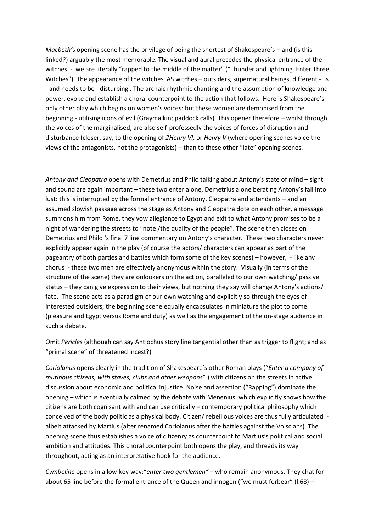*Macbeth'*s opening scene has the privilege of being the shortest of Shakespeare's – and (is this linked?) arguably the most memorable. The visual and aural precedes the physical entrance of the witches - we are literally "rapped to the middle of the matter" ("Thunder and lightning. Enter Three Witches"). The appearance of the witches AS witches – outsiders, supernatural beings, different - is - and needs to be - disturbing . The archaic rhythmic chanting and the assumption of knowledge and power, evoke and establish a choral counterpoint to the action that follows. Here is Shakespeare's only other play which begins on women's voices: but these women are demonised from the beginning - utilising icons of evil (Graymalkin; paddock calls). This opener therefore – whilst through the voices of the marginalised, are also self-professedly the voices of forces of disruption and disturbance (closer, say, to the opening of *2Henry VI,* or *Henry V* (where opening scenes voice the views of the antagonists, not the protagonists) – than to these other "late" opening scenes.

*Antony and Cleopatra* opens with Demetrius and Philo talking about Antony's state of mind – sight and sound are again important – these two enter alone, Demetrius alone berating Antony's fall into lust: this is interrupted by the formal entrance of Antony, Cleopatra and attendants – and an assumed slowish passage across the stage as Antony and Cleopatra dote on each other, a message summons him from Rome, they vow allegiance to Egypt and exit to what Antony promises to be a night of wandering the streets to "note /the quality of the people". The scene then closes on Demetrius and Philo 's final 7 line commentary on Antony's character. These two characters never explicitly appear again in the play (of course the actors/ characters can appear as part of the pageantry of both parties and battles which form some of the key scenes) – however, - like any chorus - these two men are effectively anonymous within the story. Visually (in terms of the structure of the scene) they are onlookers on the action, paralleled to our own watching/ passive status – they can give expression to their views, but nothing they say will change Antony's actions/ fate. The scene acts as a paradigm of our own watching and explicitly so through the eyes of interested outsiders; the beginning scene equally encapsulates in miniature the plot to come (pleasure and Egypt versus Rome and duty) as well as the engagement of the on-stage audience in such a debate.

Omit *Pericles* (although can say Antiochus story line tangential other than as trigger to flight; and as "primal scene" of threatened incest?)

*Coriolanus* opens clearly in the tradition of Shakespeare's other Roman plays ("*Enter a company of mutinous citizens, with staves, clubs and other weapons*" ) with citizens on the streets in active discussion about economic and political injustice. Noise and assertion ("Rapping") dominate the opening – which is eventually calmed by the debate with Menenius, which explicitly shows how the citizens are both cognisant with and can use critically – contemporary political philosophy which conceived of the body politic as a physical body. Citizen/ rebellious voices are thus fully articulated albeit attacked by Martius (alter renamed Coriolanus after the battles against the Volscians). The opening scene thus establishes a voice of citizenry as counterpoint to Martius's political and social ambition and attitudes. This choral counterpoint both opens the play, and threads its way throughout, acting as an interpretative hook for the audience.

*Cymbeline* opens in a low-key way:"*enter two gentlemen"* – who remain anonymous. They chat for about 65 line before the formal entrance of the Queen and innogen ("we must forbear" (l.68) –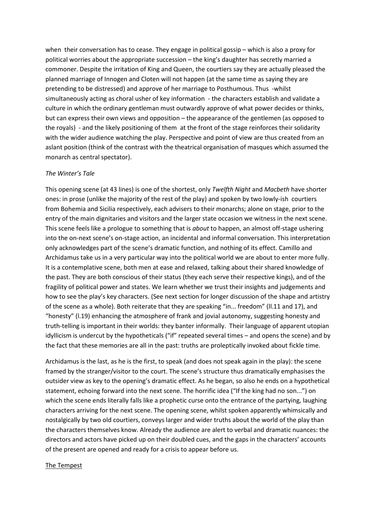when their conversation has to cease. They engage in political gossip – which is also a proxy for political worries about the appropriate succession – the king's daughter has secretly married a commoner. Despite the irritation of King and Queen, the courtiers say they are actually pleased the planned marriage of Innogen and Cloten will not happen (at the same time as saying they are pretending to be distressed) and approve of her marriage to Posthumous. Thus -whilst simultaneously acting as choral usher of key information - the characters establish and validate a culture in which the ordinary gentleman must outwardly approve of what power decides or thinks, but can express their own views and opposition – the appearance of the gentlemen (as opposed to the royals) - and the likely positioning of them at the front of the stage reinforces their solidarity with the wider audience watching the play. Perspective and point of view are thus created from an aslant position (think of the contrast with the theatrical organisation of masques which assumed the monarch as central spectator).

#### *The Winter's Tale*

This opening scene (at 43 lines) is one of the shortest, only *Twelfth Night* and *Macbeth* have shorter ones: in prose (unlike the majority of the rest of the play) and spoken by two lowly-ish courtiers from Bohemia and Sicilia respectively, each advisers to their monarchs; alone on stage, prior to the entry of the main dignitaries and visitors and the larger state occasion we witness in the next scene. This scene feels like a prologue to something that is *about* to happen, an almost off-stage ushering into the on-next scene's on-stage action, an incidental and informal conversation. This interpretation only acknowledges part of the scene's dramatic function, and nothing of its effect. Camillo and Archidamus take us in a very particular way into the political world we are about to enter more fully. It is a contemplative scene, both men at ease and relaxed, talking about their shared knowledge of the past. They are both conscious of their status (they each serve their respective kings), and of the fragility of political power and states. We learn whether we trust their insights and judgements and how to see the play's key characters. (See next section for longer discussion of the shape and artistry of the scene as a whole). Both reiterate that they are speaking "in... freedom" (ll.11 and 17), and "honesty" (l.19) enhancing the atmosphere of frank and jovial autonomy, suggesting honesty and truth-telling is important in their worlds: they banter informally. Their language of apparent utopian idyllicism is undercut by the hypotheticals ("if" repeated several times – and opens the scene) and by the fact that these memories are all in the past: truths are proleptically invoked about fickle time.

Archidamus is the last, as he is the first, to speak (and does not speak again in the play): the scene framed by the stranger/visitor to the court. The scene's structure thus dramatically emphasises the outsider view as key to the opening's dramatic effect. As he began, so also he ends on a hypothetical statement, echoing forward into the next scene. The horrific idea ("If the king had no son...") on which the scene ends literally falls like a prophetic curse onto the entrance of the partying, laughing characters arriving for the next scene. The opening scene, whilst spoken apparently whimsically and nostalgically by two old courtiers, conveys larger and wider truths about the world of the play than the characters themselves know. Already the audience are alert to verbal and dramatic nuances: the directors and actors have picked up on their doubled cues, and the gaps in the characters' accounts of the present are opened and ready for a crisis to appear before us.

#### The Tempest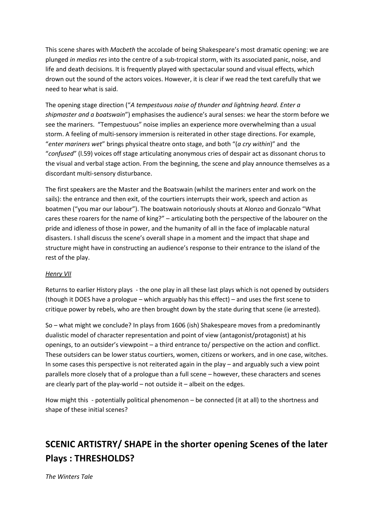This scene shares with *Macbeth* the accolade of being Shakespeare's most dramatic opening: we are plunged *in medias res* into the centre of a sub-tropical storm, with its associated panic, noise, and life and death decisions. It is frequently played with spectacular sound and visual effects, which drown out the sound of the actors voices. However, it is clear if we read the text carefully that we need to hear what is said.

The opening stage direction ("*A tempestuous noise of thunder and lightning heard. Enter a shipmaster and a boatswain*") emphasises the audience's aural senses: we hear the storm before we see the mariners. "Tempestuous" noise implies an experience more overwhelming than a usual storm. A feeling of multi-sensory immersion is reiterated in other stage directions. For example, "*enter mariners wet*" brings physical theatre onto stage, and both "(*a cry within*)" and the "*confused*" (l.59) voices off stage articulating anonymous cries of despair act as dissonant chorus to the visual and verbal stage action. From the beginning, the scene and play announce themselves as a discordant multi-sensory disturbance.

The first speakers are the Master and the Boatswain (whilst the mariners enter and work on the sails): the entrance and then exit, of the courtiers interrupts their work, speech and action as boatmen ("you mar our labour"). The boatswain notoriously shouts at Alonzo and Gonzalo "What cares these roarers for the name of king?" – articulating both the perspective of the labourer on the pride and idleness of those in power, and the humanity of all in the face of implacable natural disasters. I shall discuss the scene's overall shape in a moment and the impact that shape and structure might have in constructing an audience's response to their entrance to the island of the rest of the play.

#### *Henry VII*

Returns to earlier History plays - the one play in all these last plays which is not opened by outsiders (though it DOES have a prologue – which arguably has this effect) – and uses the first scene to critique power by rebels, who are then brought down by the state during that scene (ie arrested).

So – what might we conclude? In plays from 1606 (ish) Shakespeare moves from a predominantly dualistic model of character representation and point of view (antagonist/protagonist) at his openings, to an outsider's viewpoint – a third entrance to/ perspective on the action and conflict. These outsiders can be lower status courtiers, women, citizens or workers, and in one case, witches. In some cases this perspective is not reiterated again in the play – and arguably such a view point parallels more closely that of a prologue than a full scene – however, these characters and scenes are clearly part of the play-world – not outside it – albeit on the edges.

How might this - potentially political phenomenon – be connected (it at all) to the shortness and shape of these initial scenes?

# **SCENIC ARTISTRY/ SHAPE in the shorter opening Scenes of the later Plays : THRESHOLDS?**

*The Winters Tale*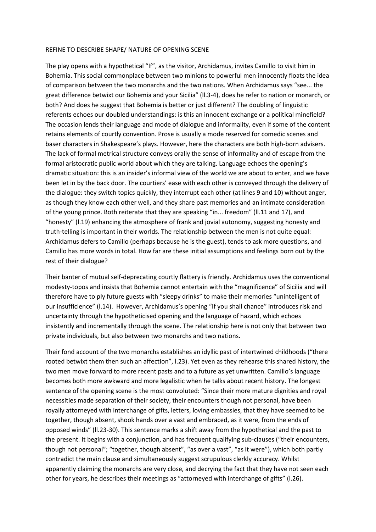#### REFINE TO DESCRIBE SHAPE/ NATURE OF OPENING SCENE

The play opens with a hypothetical "If", as the visitor, Archidamus, invites Camillo to visit him in Bohemia. This social commonplace between two minions to powerful men innocently floats the idea of comparison between the two monarchs and the two nations. When Archidamus says "see... the great difference betwixt our Bohemia and your Sicilia" (ll.3-4), does he refer to nation or monarch, or both? And does he suggest that Bohemia is better or just different? The doubling of linguistic referents echoes our doubled understandings: is this an innocent exchange or a political minefield? The occasion lends their language and mode of dialogue and informality, even if some of the content retains elements of courtly convention. Prose is usually a mode reserved for comedic scenes and baser characters in Shakespeare's plays. However, here the characters are both high-born advisers. The lack of formal metrical structure conveys orally the sense of informality and of escape from the formal aristocratic public world about which they are talking. Language echoes the opening's dramatic situation: this is an insider's informal view of the world we are about to enter, and we have been let in by the back door. The courtiers' ease with each other is conveyed through the delivery of the dialogue: they switch topics quickly, they interrupt each other (at lines 9 and 10) without anger, as though they know each other well, and they share past memories and an intimate consideration of the young prince. Both reiterate that they are speaking "in... freedom" (ll.11 and 17), and "honesty" (l.19) enhancing the atmosphere of frank and jovial autonomy, suggesting honesty and truth-telling is important in their worlds. The relationship between the men is not quite equal: Archidamus defers to Camillo (perhaps because he is the guest), tends to ask more questions, and Camillo has more words in total. How far are these initial assumptions and feelings born out by the rest of their dialogue?

Their banter of mutual self-deprecating courtly flattery is friendly. Archidamus uses the conventional modesty-topos and insists that Bohemia cannot entertain with the "magnificence" of Sicilia and will therefore have to ply future guests with "sleepy drinks" to make their memories "unintelligent of our insufficience" (l.14). However, Archidamus's opening "If you shall chance" introduces risk and uncertainty through the hypotheticised opening and the language of hazard, which echoes insistently and incrementally through the scene. The relationship here is not only that between two private individuals, but also between two monarchs and two nations.

Their fond account of the two monarchs establishes an idyllic past of intertwined childhoods ("there rooted betwixt them then such an affection", l.23). Yet even as they rehearse this shared history, the two men move forward to more recent pasts and to a future as yet unwritten. Camillo's language becomes both more awkward and more legalistic when he talks about recent history. The longest sentence of the opening scene is the most convoluted: "Since their more mature dignities and royal necessities made separation of their society, their encounters though not personal, have been royally attorneyed with interchange of gifts, letters, loving embassies, that they have seemed to be together, though absent, shook hands over a vast and embraced, as it were, from the ends of opposed winds" (ll.23-30). This sentence marks a shift away from the hypothetical and the past to the present. It begins with a conjunction, and has frequent qualifying sub-clauses ("their encounters, though not personal"; "together, though absent", "as over a vast", "as it were"), which both partly contradict the main clause and simultaneously suggest scrupulous clerkly accuracy. Whilst apparently claiming the monarchs are very close, and decrying the fact that they have not seen each other for years, he describes their meetings as "attorneyed with interchange of gifts" (l.26).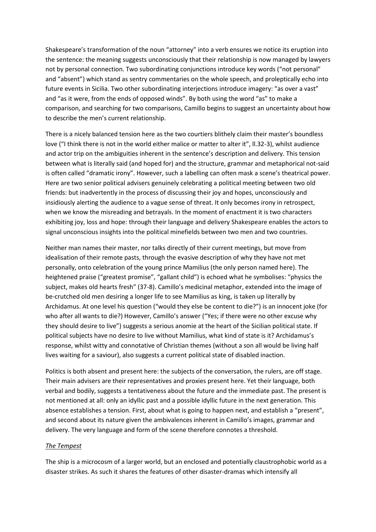Shakespeare's transformation of the noun "attorney" into a verb ensures we notice its eruption into the sentence: the meaning suggests unconsciously that their relationship is now managed by lawyers not by personal connection. Two subordinating conjunctions introduce key words ("not personal" and "absent") which stand as sentry commentaries on the whole speech, and proleptically echo into future events in Sicilia. Two other subordinating interjections introduce imagery: "as over a vast" and "as it were, from the ends of opposed winds". By both using the word "as" to make a comparison, and searching for two comparisons, Camillo begins to suggest an uncertainty about how to describe the men's current relationship.

There is a nicely balanced tension here as the two courtiers blithely claim their master's boundless love ("I think there is not in the world either malice or matter to alter it", ll.32-3), whilst audience and actor trip on the ambiguities inherent in the sentence's description and delivery. This tension between what is literally said (and hoped for) and the structure, grammar and metaphorical not-said is often called "dramatic irony". However, such a labelling can often mask a scene's theatrical power. Here are two senior political advisers genuinely celebrating a political meeting between two old friends: but inadvertently in the process of discussing their joy and hopes, unconsciously and insidiously alerting the audience to a vague sense of threat. It only becomes irony in retrospect, when we know the misreading and betrayals. In the moment of enactment it is two characters exhibiting joy, loss and hope: through their language and delivery Shakespeare enables the actors to signal unconscious insights into the political minefields between two men and two countries.

Neither man names their master, nor talks directly of their current meetings, but move from idealisation of their remote pasts, through the evasive description of why they have not met personally, onto celebration of the young prince Mamilius (the only person named here). The heightened praise ("greatest promise", "gallant child") is echoed what he symbolises: "physics the subject, makes old hearts fresh" (37-8). Camillo's medicinal metaphor, extended into the image of be-crutched old men desiring a longer life to see Mamilius as king, is taken up literally by Archidamus. At one level his question ("would they else be content to die?") is an innocent joke (for who after all wants to die?) However, Camillo's answer ("Yes; if there were no other excuse why they should desire to live") suggests a serious anomie at the heart of the Sicilian political state. If political subjects have no desire to live without Mamilius, what kind of state is it? Archidamus's response, whilst witty and connotative of Christian themes (without a son all would be living half lives waiting for a saviour), also suggests a current political state of disabled inaction.

Politics is both absent and present here: the subjects of the conversation, the rulers, are off stage. Their main advisers are their representatives and proxies present here. Yet their language, both verbal and bodily, suggests a tentativeness about the future and the immediate past. The present is not mentioned at all: only an idyllic past and a possible idyllic future in the next generation. This absence establishes a tension. First, about what is going to happen next, and establish a "present", and second about its nature given the ambivalences inherent in Camillo's images, grammar and delivery. The very language and form of the scene therefore connotes a threshold.

#### *The Tempest*

The ship is a microcosm of a larger world, but an enclosed and potentially claustrophobic world as a disaster strikes. As such it shares the features of other disaster-dramas which intensify all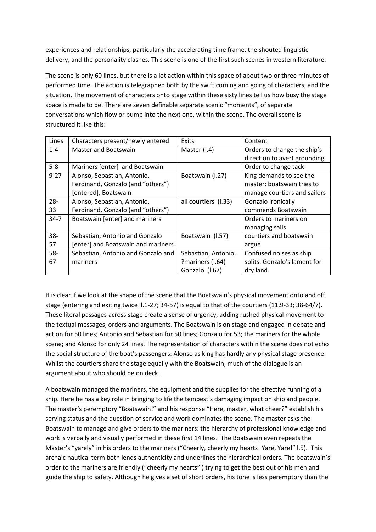experiences and relationships, particularly the accelerating time frame, the shouted linguistic delivery, and the personality clashes. This scene is one of the first such scenes in western literature.

The scene is only 60 lines, but there is a lot action within this space of about two or three minutes of performed time. The action is telegraphed both by the swift coming and going of characters, and the situation. The movement of characters onto stage within these sixty lines tell us how busy the stage space is made to be. There are seven definable separate scenic "moments", of separate conversations which flow or bump into the next one, within the scene. The overall scene is structured it like this:

| Lines    | Characters present/newly entered   | Exits                | Content                      |
|----------|------------------------------------|----------------------|------------------------------|
| $1 - 4$  | Master and Boatswain               | Master (I.4)         | Orders to change the ship's  |
|          |                                    |                      | direction to avert grounding |
| $5-8$    | Mariners [enter] and Boatswain     |                      | Order to change tack         |
| $9 - 27$ | Alonso, Sebastian, Antonio,        | Boatswain (I.27)     | King demands to see the      |
|          | Ferdinand, Gonzalo (and "others")  |                      | master: boatswain tries to   |
|          | [entered], Boatswain               |                      | manage courtiers and sailors |
| $28 -$   | Alonso, Sebastian, Antonio,        | all courtiers (I.33) | Gonzalo ironically           |
| 33       | Ferdinand, Gonzalo (and "others")  |                      | commends Boatswain           |
| $34 - 7$ | Boatswain [enter] and mariners     |                      | Orders to mariners on        |
|          |                                    |                      | managing sails               |
| $38 -$   | Sebastian, Antonio and Gonzalo     | Boatswain (I.57)     | courtiers and boatswain      |
| 57       | [enter] and Boatswain and mariners |                      | argue                        |
| $58 -$   | Sebastian, Antonio and Gonzalo and | Sebastian, Antonio,  | Confused noises as ship      |
| 67       | mariners                           | ?mariners (I.64)     | splits: Gonzalo's lament for |
|          |                                    | Gonzalo (I.67)       | dry land.                    |

It is clear if we look at the shape of the scene that the Boatswain's physical movement onto and off stage (entering and exiting twice ll.1-27; 34-57) is equal to that of the courtiers (11.9-33; 38-64/7). These literal passages across stage create a sense of urgency, adding rushed physical movement to the textual messages, orders and arguments. The Boatswain is on stage and engaged in debate and action for 50 lines; Antonio and Sebastian for 50 lines; Gonzalo for 53; the mariners for the whole scene; and Alonso for only 24 lines. The representation of characters within the scene does not echo the social structure of the boat's passengers: Alonso as king has hardly any physical stage presence. Whilst the courtiers share the stage equally with the Boatswain, much of the dialogue is an argument about who should be on deck.

A boatswain managed the mariners, the equipment and the supplies for the effective running of a ship. Here he has a key role in bringing to life the tempest's damaging impact on ship and people. The master's peremptory "Boatswain!" and his response "Here, master, what cheer?" establish his serving status and the question of service and work dominates the scene. The master asks the Boatswain to manage and give orders to the mariners: the hierarchy of professional knowledge and work is verbally and visually performed in these first 14 lines. The Boatswain even repeats the Master's "yarely" in his orders to the mariners ("Cheerly, cheerly my hearts! Yare, Yare!" l.5). This archaic nautical term both lends authenticity and underlines the hierarchical orders. The boatswain's order to the mariners are friendly ("cheerly my hearts" ) trying to get the best out of his men and guide the ship to safety. Although he gives a set of short orders, his tone is less peremptory than the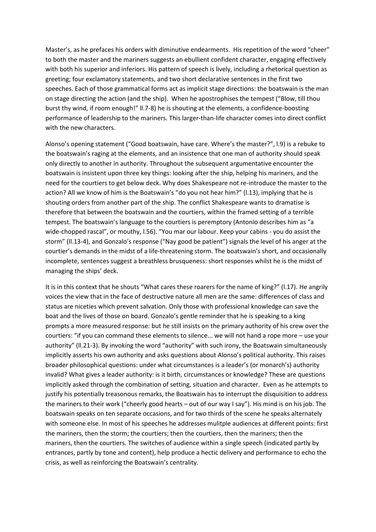Master's, as he prefaces his orders with diminutive endearments. His repetition of the word "cheer" to both the master and the mariners suggests an ebullient confident character, engaging effectively with both his superior and inferiors. His pattern of speech is lively, including a rhetorical question as greeting; four exclamatory statements, and two short declarative sentences in the first two speeches. Each of those grammatical forms act as implicit stage directions: the boatswain is the man on stage directing the action (and the ship). When he apostrophises the tempest ("Blow, till thou burst thy wind, if room enough!" ll.7-8) he is shouting at the elements, a confidence-boosting performance of leadership to the mariners. This larger-than-life character comes into direct conflict with the new characters.

Alonso's opening statement ("Good boatswain, have care. Where's the master?", l.9) is a rebuke to the boatswain's raging at the elements, and an insistence that one man of authority should speak only directly to another in authority. Throughout the subsequent argumentative encounter the boatswain is insistent upon three key things: looking after the ship, helping his mariners, and the need for the courtiers to get below deck. Why does Shakespeare not re-introduce the master to the action? All we know of him is the Boatswain's "do you not hear him?" (l.13), implying that he is shouting orders from another part of the ship. The conflict Shakespeare wants to dramatise is therefore that between the boatswain and the courtiers, within the framed setting of a terrible tempest. The boatswain's language to the courtiers is peremptory (Antonio describes him as "a wide-chopped rascal", or mouthy, l.56). "You mar our labour. Keep your cabins - you do assist the storm" (ll.13-4), and Gonzalo's response ("Nay good be patient") signals the level of his anger at the courtier's demands in the midst of a life-threatening storm. The boatswain's short, and occasionally incomplete, sentences suggest a breathless brusqueness: short responses whilst he is the midst of managing the ships' deck.

It is in this context that he shouts "What cares these roarers for the name of king?" (l.17). He angrily voices the view that in the face of destructive nature all men are the same: differences of class and status are niceties which prevent salvation. Only those with professional knowledge can save the boat and the lives of those on board. Gonzalo's gentle reminder that he is speaking to a king prompts a more measured response: but he still insists on the primary authority of his crew over the courtiers: "if you can command these elements to silence... we will not hand a rope more – use your authority" (ll.21-3). By invoking the word "authority" with such irony, the Boatswain simultaneously implicitly asserts his own authority and asks questions about Alonso's political authority. This raises broader philosophical questions: under what circumstances is a leader's (or monarch's) authority invalid? What gives a leader authority: is it birth, circumstances or knowledge? These are questions implicitly asked through the combination of setting, situation and character. Even as he attempts to justify his potentially treasonous remarks, the Boatswain has to interrupt the disquisition to address the mariners to their work ("cheerly good hearts – out of our way I say"). His mind is on his job. The boatswain speaks on ten separate occasions, and for two thirds of the scene he speaks alternately with someone else. In most of his speeches he addresses mulitple audiences at different points: first the mariners, then the storm; the courtiers; then the courtiers, then the mariners; then the mariners, then the courtiers. The switches of audience within a single speech (indicated partly by entrances, partly by tone and content), help produce a hectic delivery and performance to echo the crisis, as well as reinforcing the Boatswain's centrality.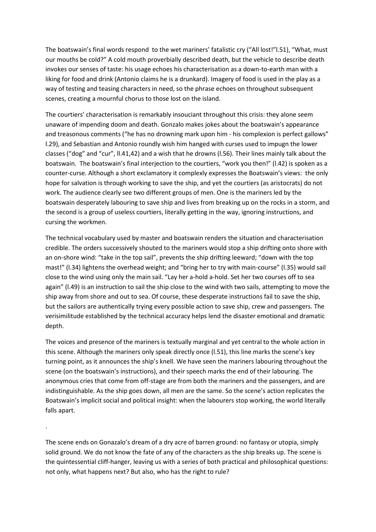The boatswain's final words respond to the wet mariners' fatalistic cry ("All lost!"l.51), "What, must our mouths be cold?" A cold mouth proverbially described death, but the vehicle to describe death invokes our senses of taste: his usage echoes his characterisation as a down-to-earth man with a liking for food and drink (Antonio claims he is a drunkard). Imagery of food is used in the play as a way of testing and teasing characters in need, so the phrase echoes on throughout subsequent scenes, creating a mournful chorus to those lost on the island.

The courtiers' characterisation is remarkably insouciant throughout this crisis: they alone seem unaware of impending doom and death. Gonzalo makes jokes about the boatswain's appearance and treasonous comments ("he has no drowning mark upon him - his complexion is perfect gallows" l.29), and Sebastian and Antonio roundly wish him hanged with curses used to impugn the lower classes ("dog" and "cur", ll.41,42) and a wish that he drowns (l.56). Their lines mainly talk about the boatswain. The boatswain's final interjection to the courtiers, "work you then!" (l.42) is spoken as a counter-curse. Although a short exclamatory it complexly expresses the Boatswain's views: the only hope for salvation is through working to save the ship, and yet the courtiers (as aristocrats) do not work. The audience clearly see two different groups of men. One is the mariners led by the boatswain desperately labouring to save ship and lives from breaking up on the rocks in a storm, and the second is a group of useless courtiers, literally getting in the way, ignoring instructions, and cursing the workmen.

The technical vocabulary used by master and boatswain renders the situation and characterisation credible. The orders successively shouted to the mariners would stop a ship drifting onto shore with an on-shore wind: "take in the top sail", prevents the ship drifting leeward; "down with the top mast!" (l.34) lightens the overhead weight; and "bring her to try with main-course" (l.35) would sail close to the wind using only the main sail. "Lay her a-hold a-hold. Set her two courses off to sea again" (l.49) is an instruction to sail the ship close to the wind with two sails, attempting to move the ship away from shore and out to sea. Of course, these desperate instructions fail to save the ship, but the sailors are authentically trying every possible action to save ship, crew and passengers. The verisimilitude established by the technical accuracy helps lend the disaster emotional and dramatic depth.

The voices and presence of the mariners is textually marginal and yet central to the whole action in this scene. Although the mariners only speak directly once (l.51), this line marks the scene's key turning point, as it announces the ship's knell. We have seen the mariners labouring throughout the scene (on the boatswain's instructions), and their speech marks the end of their labouring. The anonymous cries that come from off-stage are from both the mariners and the passengers, and are indistinguishable. As the ship goes down, all men are the same. So the scene's action replicates the Boatswain's implicit social and political insight: when the labourers stop working, the world literally falls apart.

The scene ends on Gonazalo's dream of a dry acre of barren ground: no fantasy or utopia, simply solid ground. We do not know the fate of any of the characters as the ship breaks up. The scene is the quintessential cliff-hanger, leaving us with a series of both practical and philosophical questions: not only, what happens next? But also, who has the right to rule?

.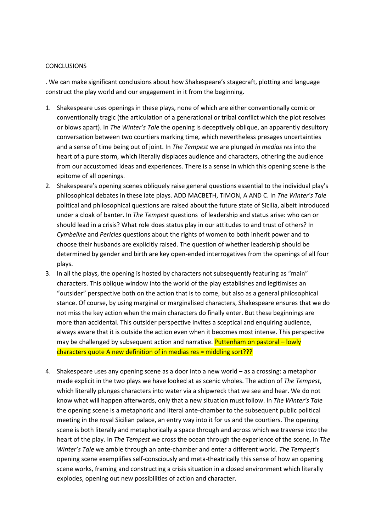#### **CONCLUSIONS**

. We can make significant conclusions about how Shakespeare's stagecraft, plotting and language construct the play world and our engagement in it from the beginning.

- 1. Shakespeare uses openings in these plays, none of which are either conventionally comic or conventionally tragic (the articulation of a generational or tribal conflict which the plot resolves or blows apart). In *The Winter's Tale* the opening is deceptively oblique, an apparently desultory conversation between two courtiers marking time, which nevertheless presages uncertainties and a sense of time being out of joint. In *The Tempest* we are plunged *in medias res* into the heart of a pure storm, which literally displaces audience and characters, othering the audience from our accustomed ideas and experiences. There is a sense in which this opening scene is the epitome of all openings.
- 2. Shakespeare's opening scenes obliquely raise general questions essential to the individual play's philosophical debates in these late plays. ADD MACBETH, TIMON, A AND C. In *The Winter's Tale* political and philosophical questions are raised about the future state of Sicilia, albeit introduced under a cloak of banter. In *The Tempest* questions of leadership and status arise: who can or should lead in a crisis? What role does status play in our attitudes to and trust of others? In *Cymbeline* and *Pericles* questions about the rights of women to both inherit power and to choose their husbands are explicitly raised. The question of whether leadership should be determined by gender and birth are key open-ended interrogatives from the openings of all four plays.
- 3. In all the plays, the opening is hosted by characters not subsequently featuring as "main" characters. This oblique window into the world of the play establishes and legitimises an "outsider" perspective both on the action that is to come, but also as a general philosophical stance. Of course, by using marginal or marginalised characters, Shakespeare ensures that we do not miss the key action when the main characters do finally enter. But these beginnings are more than accidental. This outsider perspective invites a sceptical and enquiring audience, always aware that it is outside the action even when it becomes most intense. This perspective may be challenged by subsequent action and narrative. Puttenham on pastoral – lowly characters quote A new definition of in medias res = middling sort???
- 4. Shakespeare uses any opening scene as a door into a new world as a crossing: a metaphor made explicit in the two plays we have looked at as scenic wholes. The action of *The Tempest*, which literally plunges characters into water via a shipwreck that we see and hear. We do not know what will happen afterwards, only that a new situation must follow. In *The Winter's Tale* the opening scene is a metaphoric and literal ante-chamber to the subsequent public political meeting in the royal Sicilian palace, an entry way into it for us and the courtiers. The opening scene is both literally and metaphorically a space through and across which we traverse *into* the heart of the play. In *The Tempest* we cross the ocean through the experience of the scene, in *The Winter's Tale* we amble through an ante-chamber and enter a different world. *The Tempest*'s opening scene exemplifies self-consciously and meta-theatrically this sense of how an opening scene works, framing and constructing a crisis situation in a closed environment which literally explodes, opening out new possibilities of action and character.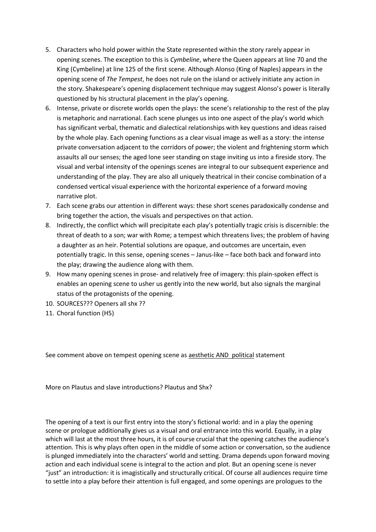- 5. Characters who hold power within the State represented within the story rarely appear in opening scenes. The exception to this is *Cymbeline*, where the Queen appears at line 70 and the King (Cymbeline) at line 125 of the first scene. Although Alonso (King of Naples) appears in the opening scene of *The Tempest*, he does not rule on the island or actively initiate any action in the story. Shakespeare's opening displacement technique may suggest Alonso's power is literally questioned by his structural placement in the play's opening.
- 6. Intense, private or discrete worlds open the plays: the scene's relationship to the rest of the play is metaphoric and narrational. Each scene plunges us into one aspect of the play's world which has significant verbal, thematic and dialectical relationships with key questions and ideas raised by the whole play. Each opening functions as a clear visual image as well as a story: the intense private conversation adjacent to the corridors of power; the violent and frightening storm which assaults all our senses; the aged lone seer standing on stage inviting us into a fireside story. The visual and verbal intensity of the openings scenes are integral to our subsequent experience and understanding of the play. They are also all uniquely theatrical in their concise combination of a condensed vertical visual experience with the horizontal experience of a forward moving narrative plot.
- 7. Each scene grabs our attention in different ways: these short scenes paradoxically condense and bring together the action, the visuals and perspectives on that action.
- 8. Indirectly, the conflict which will precipitate each play's potentially tragic crisis is discernible: the threat of death to a son; war with Rome; a tempest which threatens lives; the problem of having a daughter as an heir. Potential solutions are opaque, and outcomes are uncertain, even potentially tragic. In this sense, opening scenes – Janus-like – face both back and forward into the play; drawing the audience along with them.
- 9. How many opening scenes in prose- and relatively free of imagery: this plain-spoken effect is enables an opening scene to usher us gently into the new world, but also signals the marginal status of the protagonists of the opening.
- 10. SOURCES??? Openers all shx ??
- 11. Choral function (H5)

See comment above on tempest opening scene as aesthetic AND political statement

More on Plautus and slave introductions? Plautus and Shx?

The opening of a text is our first entry into the story's fictional world: and in a play the opening scene or prologue additionally gives us a visual and oral entrance into this world. Equally, in a play which will last at the most three hours, it is of course crucial that the opening catches the audience's attention. This is why plays often open in the middle of some action or conversation, so the audience is plunged immediately into the characters' world and setting. Drama depends upon forward moving action and each individual scene is integral to the action and plot. But an opening scene is never "just" an introduction: it is imagistically and structurally critical. Of course all audiences require time to settle into a play before their attention is full engaged, and some openings are prologues to the